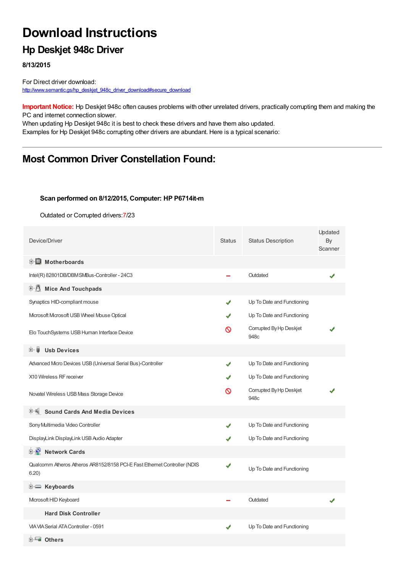# **Download Instructions**

### **Hp Deskjet 948c Driver**

**8/13/2015**

For Direct driver download: [http://www.semantic.gs/hp\\_deskjet\\_948c\\_driver\\_download#secure\\_download](http://www.semantic.gs/hp_deskjet_948c_driver_download#secure_download)

**Important Notice:** Hp Deskjet 948c often causes problems with other unrelated drivers, practically corrupting them and making the PC and internet connection slower.

When updating Hp Deskjet 948c it is best to check these drivers and have them also updated. Examples for Hp Deskjet 948c corrupting other drivers are abundant. Here is a typical scenario:

### **Most Common Driver Constellation Found:**

#### **Scan performed on 8/12/2015, Computer: HP P6714it-m**

Outdated or Corrupted drivers:7/23

| Device/Driver                                                                      | <b>Status</b> | <b>Status Description</b>       | Updated<br>By<br>Scanner |
|------------------------------------------------------------------------------------|---------------|---------------------------------|--------------------------|
| <b>E</b> Motherboards                                                              |               |                                 |                          |
| Intel(R) 82801DB/DBMSMBus-Controller - 24C3                                        |               | Outdated                        |                          |
| <b>E</b> Mice And Touchpads                                                        |               |                                 |                          |
| Synaptics HID-compliant mouse                                                      | ✔             | Up To Date and Functioning      |                          |
| Microsoft Microsoft USB Wheel Mouse Optical                                        |               | Up To Date and Functioning      |                          |
| Elo TouchSystems USB Human Interface Device                                        | ᠗             | Corrupted By Hp Deskjet<br>948c |                          |
| <b>Usb Devices</b><br>⊞… ⊌                                                         |               |                                 |                          |
| Advanced Micro Devices USB (Universal Serial Bus)-Controller                       | J             | Up To Date and Functioning      |                          |
| X10 Wireless RF receiver                                                           |               | Up To Date and Functioning      |                          |
| Novatel Wireless USB Mass Storage Device                                           | ര             | Corrupted By Hp Deskjet<br>948c |                          |
| <b>Sound Cards And Media Devices</b>                                               |               |                                 |                          |
| Sony Multimedia Video Controller                                                   | J             | Up To Date and Functioning      |                          |
| DisplayLink DisplayLink USB Audio Adapter                                          |               | Up To Date and Functioning      |                          |
| <b>E-2</b> Network Cards                                                           |               |                                 |                          |
| Qualcomm Atheros Atheros AR8152/8158 PCI-E Fast Ethernet Controller (NDIS<br>6.20) | ✔             | Up To Date and Functioning      |                          |
| <b>E</b> Keyboards                                                                 |               |                                 |                          |
| Microsoft HID Keyboard                                                             |               | Outdated                        |                          |
| <b>Hard Disk Controller</b>                                                        |               |                                 |                          |
| <b>VIA VIA Serial ATA Controller - 0591</b>                                        |               | Up To Date and Functioning      |                          |
| <b>E</b> Others                                                                    |               |                                 |                          |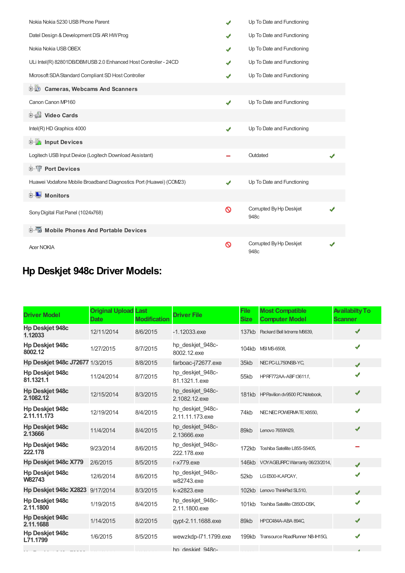| Nokia Nokia 5230 USB Phone Parent                                  | J | Up To Date and Functioning      |  |
|--------------------------------------------------------------------|---|---------------------------------|--|
| Datel Design & Development DSi AR HW Prog                          |   | Up To Date and Functioning      |  |
| Nokia Nokia USB OBEX                                               | ✔ | Up To Date and Functioning      |  |
| ULi Intel(R) 82801DB/DBMUSB 2.0 Enhanced Host Controller - 24CD    |   | Up To Date and Functioning      |  |
| Microsoft SDA Standard Compliant SD Host Controller                |   | Up To Date and Functioning      |  |
| <b>Cameras, Webcams And Scanners</b><br>D-10                       |   |                                 |  |
| Canon Canon MP160                                                  | ✔ | Up To Date and Functioning      |  |
| Video Cards                                                        |   |                                 |  |
| Intel(R) HD Graphics 4000                                          | ✔ | Up To Date and Functioning      |  |
| input Devices                                                      |   |                                 |  |
| Logitech USB Input Device (Logitech Download Assistant)            |   | Outdated                        |  |
| <b>E-1 Port Devices</b>                                            |   |                                 |  |
| Huawei Vodafone Mobile Broadband Diagnostics Port (Huawei) (COM23) | ✔ | Up To Date and Functioning      |  |
| <b>⊡ ■ Monitors</b>                                                |   |                                 |  |
| Sony Digital Flat Panel (1024x768)                                 | ଷ | Corrupted By Hp Deskjet<br>948c |  |
| <b>E-5</b> Mobile Phones And Portable Devices                      |   |                                 |  |
| <b>Acer NOKIA</b>                                                  | ଷ | Corrupted By Hp Deskjet<br>948c |  |

## **Hp Deskjet 948c Driver Models:**

| <b>Driver Model</b>                   | <b>Original Upload Last</b><br><b>Date</b> | <b>Modification</b> | <b>Driver File</b>                  | <b>File</b><br><b>Size</b> | <b>Most Compatible</b><br><b>Computer Model</b> | <b>Availabilty To</b><br><b>Scanner</b> |
|---------------------------------------|--------------------------------------------|---------------------|-------------------------------------|----------------------------|-------------------------------------------------|-----------------------------------------|
| <b>Hp Deskjet 948c</b><br>1.12033     | 12/11/2014                                 | 8/6/2015            | $-1.12033$ .exe                     |                            | 137kb Packard Bell Ixtreme M6639,               | ✔                                       |
| Hp Deskjet 948c<br>8002.12            | 1/27/2015                                  | 8/7/2015            | hp deskjet 948c-<br>8002.12.exe     |                            | 104kb MSIMS-6508,                               | ✔                                       |
| Hp Deskjet 948c J72677 1/3/2015       |                                            | 8/8/2015            | farboac-j72677.exe                  | 35kb                       | NEC PC-LL750NSB-YC,                             | ✔                                       |
| <b>Hp Deskjet 948c</b><br>81.1321.1   | 11/24/2014                                 | 8/7/2015            | hp_deskjet_948c-<br>81.1321.1.exe   | 55kb                       | HPRF772AA-ABF t3611.f.                          |                                         |
| <b>Hp Deskjet 948c</b><br>2.1082.12   | 12/15/2014                                 | 8/3/2015            | hp_deskjet_948c-<br>2.1082.12.exe   |                            | 181kb HP Pavilion dv9500 PC Notebook,           | ✔                                       |
| <b>Hp Deskjet 948c</b><br>2.11.11.173 | 12/19/2014                                 | 8/4/2015            | hp_deskjet_948c-<br>2.11.11.173.exe | 74kb                       | NEC NEC POWERMATE X8550,                        | ✔                                       |
| <b>Hp Deskjet 948c</b><br>2.13666     | 11/4/2014                                  | 8/4/2015            | hp_deskjet_948c-<br>2.13666.exe     | 89kb                       | Lenovo 7659W29,                                 |                                         |
| <b>Hp Deskjet 948c</b><br>222.178     | 9/23/2014                                  | 8/6/2015            | hp deskjet 948c-<br>222.178.exe     | 172kb                      | Toshiba Satellite L855-S5405,                   |                                         |
| Hp Deskjet 948c X779                  | 2/6/2015                                   | 8/5/2015            | r-x779.exe                          |                            | 146kb VOYAGEURPC Warranty 06/23/2014,           |                                         |
| <b>Hp Deskiet 948c</b><br>W82743      | 12/6/2014                                  | 8/6/2015            | hp_deskjet_948c-<br>w82743.exe      | 52kb                       | LGE500-KAPCAY,                                  |                                         |
| Hp Deskjet 948c X2823 9/17/2014       |                                            | 8/3/2015            | k-x2823.exe                         |                            | 102kb Lenovo ThinkPad SL510,                    | J                                       |
| <b>Hp Deskjet 948c</b><br>2.11.1800   | 1/19/2015                                  | 8/4/2015            | hp deskjet 948c-<br>2.11.1800.exe   |                            | 101kb Toshiba Satellite C850D-DSK,              |                                         |
| <b>Hp Deskjet 948c</b><br>2.11.1688   | 1/14/2015                                  | 8/2/2015            | qypt-2.11.1688.exe                  | 89kb                       | HPDC484A-ABA 894C,                              | ✔                                       |
| <b>Hp Deskjet 948c</b><br>L71.1799    | 1/6/2015                                   | 8/5/2015            | wewzkdp-l71.1799.exe                |                            | 199kb Transource RoadRunner NB-IH15G,           | ✔                                       |
|                                       |                                            |                     | .                                   |                            |                                                 |                                         |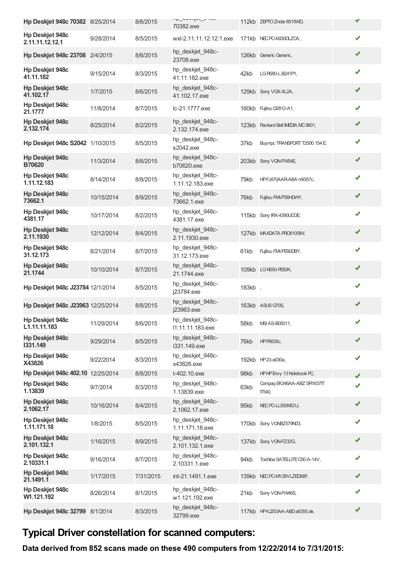|                                           |            |           | ip_aooiyor_olioo                     |        |                                      |   |
|-------------------------------------------|------------|-----------|--------------------------------------|--------|--------------------------------------|---|
| Hp Deskjet 948c 70382 8/25/2014           |            | 8/6/2015  | 70382.exe                            |        | 112kb ZEPTO Znote 6515WD,            | ✔ |
| <b>Hp Deskjet 948c</b><br>2.11.11.12.12.1 | 9/28/2014  | 8/5/2015  | wxl-2.11.11.12.12.1.exe              |        | 171kb NEC PC-MJ30DLZCA,              | ✔ |
| Hp Deskjet 948c 23708 2/4/2015            |            | 8/6/2015  | hp_deskjet_948c-<br>23708.exe        |        | 126kb Generic Generic,               | ✔ |
| <b>Hp Deskjet 948c</b><br>41.11.182       | 9/15/2014  | 8/3/2015  | hp_deskjet_948c-<br>41.11.182.exe    | 42kb   | LG R580-L.B241P1,                    | ✔ |
| <b>Hp Deskjet 948c</b><br>41.102.17       | 1/7/2015   | 8/6/2015  | hp_deskjet_948c-<br>41.102.17.exe    |        | 129kb Sony VGX-XL2A,                 | ✔ |
| <b>Hp Deskjet 948c</b><br>21.1777         | 11/8/2014  | 8/7/2015  | Ic-21.1777.exe                       |        | 160kb Fujitsu D2812-A1,              | ✔ |
| <b>Hp Deskjet 948c</b><br>2.132.174       | 8/25/2014  | 8/2/2015  | hp_deskjet_948c-<br>2.132.174.exe    |        | 123kb Packard Bell IMEDIA MC 9601,   | ✔ |
| Hp Deskjet 948c S2042 1/10/2015           |            | 8/5/2015  | hp_deskjet_948c-<br>s2042.exe        | 37kb   | Buympc TRANSPORT T2500 154 E,        | ✔ |
| <b>Hp Deskjet 948c</b><br><b>B70620</b>   | 11/3/2014  | 8/6/2015  | hp_deskjet_948c-<br>b70620.exe       |        | 203kb Sony VGN-FW54E,                | ✔ |
| <b>Hp Deskjet 948c</b><br>1.11.12.183     | 8/14/2014  | 8/8/2015  | hp_deskjet_948c-<br>1.11.12.183.exe  | 79kb   | HPFJ470AAR-ABA m9357c,               | ✔ |
| <b>Hp Deskjet 948c</b><br>73662.1         | 10/15/2014 | 8/9/2015  | hp_deskjet_948c-<br>73662.1.exe      | 76kb   | Fujitsu FMVF56HDWY,                  | ✔ |
| Hp Deskjet 948c<br>4381.17                | 10/17/2014 | 8/2/2015  | hp_deskjet_948c-<br>4381.17.exe      |        | 115kb Sony IRX-4390UCOE,             | ✔ |
| <b>Hp Deskjet 948c</b><br>2.11.1930       | 12/12/2014 | 8/4/2015  | hp_deskjet_948c-<br>2.11.1930.exe    |        | 127kb MAXDATA PRO6105M,              | ✔ |
| <b>Hp Deskjet 948c</b><br>31.12.173       | 8/21/2014  | 8/7/2015  | hp_deskjet_948c-<br>31.12.173.exe    | 61kb   | Fujitsu FMVFE90DBY,                  | ✔ |
| <b>Hp Deskjet 948c</b><br>21.1744         | 10/10/2014 | 8/7/2015  | hp_deskjet_948c-<br>21.1744.exe      |        | 109kb LG N550-PE50K,                 | ✔ |
| Hp Deskjet 948c J23784 12/1/2014          |            | 8/5/2015  | hp_deskjet_948c-<br>j23784.exe       | 183kb, |                                      | ✔ |
| Hp Deskjet 948c J23963 12/25/2014         |            | 8/8/2015  | hp_deskjet_948c-<br>j23963.exe       |        | 163kb ASUS G70S,                     | ✔ |
| <b>Hp Deskjet 948c</b><br>L1.11.11.183    | 11/29/2014 | 8/6/2015  | hp_deskjet_948c-<br>11.11.11.183.exe | 58kb   | MSI AS-B05011,                       |   |
| <b>Hp Deskjet 948c</b><br>1331.149        | 9/29/2014  | 8/5/2015  | hp_deskjet_948c-<br>i331.149.exe     | 76kb   | HP P6635c,                           | ✔ |
| Hp Deskjet 948c<br>X43826                 | 9/22/2014  | 8/3/2015  | hp_deskjet_948c-<br>x43826.exe       |        | 192kb HP23-a030a,                    | ✔ |
| Hp Deskjet 948c 402.10 12/25/2014         |            | 8/8/2015  | t-402.10.exe                         | 98kb   | HPHP Envy 13 Notebook PC,            | ✔ |
| <b>Hp Deskjet 948c</b><br>1.13839         | 9/7/2014   | 8/3/2015  | hp_deskjet_948c-<br>1.13839.exe      | 63kb   | Compaq EK346AA-ABZ SR1637IT<br>ПЪ40, |   |
| <b>Hp Deskjet 948c</b><br>2.1062.17       | 10/16/2014 | 8/4/2015  | hp_deskjet_948c-<br>2.1062.17.exe    | 95kb   | NEC PC-LL550MG1J,                    | ✔ |
| <b>Hp Deskjet 948c</b><br>1.11.171.18     | 1/8/2015   | 8/5/2015  | hp_deskjet_948c-<br>1.11.171.18.exe  |        | 170kb Sony VGNBZ579N03,              | ✔ |
| <b>Hp Deskjet 948c</b><br>2.101.132.1     | 1/16/2015  | 8/9/2015  | hp_deskjet_948c-<br>2.101.132.1.exe  |        | 137kb Sony VGN-FZ32G,                | ✔ |
| <b>Hp Deskjet 948c</b><br>2.10331.1       | 9/16/2014  | 8/7/2015  | hp deskjet 948c-<br>2.10331.1.exe    | 94kb   | Toshiba SATELLITE C50-A-14V,         | ✔ |
| <b>Hp Deskjet 948c</b><br>21.1491.1       | 1/17/2015  | 7/31/2015 | int-21.1491.1.exe                    |        | 139kb NECPC-MY28VLZEDX8F,            | ✔ |
| <b>Hp Deskjet 948c</b><br>W1.121.192      | 8/26/2014  | 8/1/2015  | hp_deskjet_948c-<br>w1.121.192.exe   | 21kb   | Sony VGN-FW46S,                      | ✔ |
| Hp Deskjet 948c 32799 8/1/2014            |            | 8/3/2015  | hp_deskjet_948c-<br>32799.exe        |        | 117kb HPKJ253AA-ABD a6355.de,        | ✔ |

## **Typical Driver constellation for scanned computers:**

**Data derived from 852 scans made on these 490 computers from 12/22/2014 to 7/31/2015:**